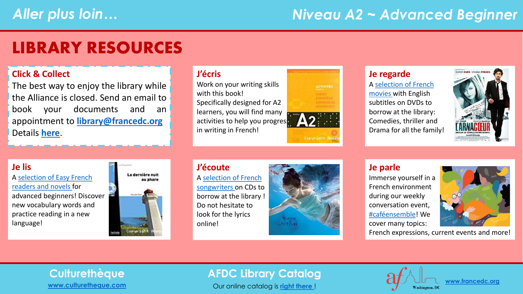## *Niveau A2 ~ Advanced Beginner*

## LIBRARY RESOURCES

#### **Click & Collect**

The best way to enjoy the library while the Alliance is closed. Send an email to book your documents and an appointment to **[library@francedc.org](mailto:library@francedc.org)** Details **[here](https://francedc.org/Click_and_Collect_Service)**.

#### **J'écris**

Work on your writing skills with this book! Specifically designed for A2 learners, you will find many activities to help you progress in writing in French!



## **Je regarde**

A [selection of French](https://librarycatalog.francedc.org/index.php?lvl=cmspage&pageid=6&id_rubrique=110)  [movies](https://librarycatalog.francedc.org/index.php?lvl=cmspage&pageid=6&id_rubrique=110) with English subtitles on DVDs to borrow at the library: Comedies, thriller and Drama for all the family!



## **Je lis**

[A selection of Easy French](https://librarycatalog.francedc.org/index.php?lvl=cmspage&pageid=6&id_rubrique=111) readers and novels for advanced beginners! Discover new vocabulary words and practice reading in a new language!



#### **J'écoute** A [selection of French](https://librarycatalog.francedc.org/index.php?lvl=cmspage&pageid=6&id_rubrique=112) [songwriters](https://librarycatalog.francedc.org/index.php?lvl=cmspage&pageid=6&id_rubrique=112) on CDs to borrow at the library ! Do not hesitate to look for the lyrics online!



## **Je parle**

Immerse yourself in a French environment during our weekly conversation event, [#caféensemble](mailto:library@francedc.org?subject=%23cafeensemble%20registration)! We cover many topics:

French expressions, current events and more!

# **[www.culturetheque.com](https://www.culturetheque.com/US/accueil-portal.aspx)**

## **Culturethèque AFDC Library Catalog**

Our online catalog is **[right there](http://librarycatalog.francedc.org/opac/)** !